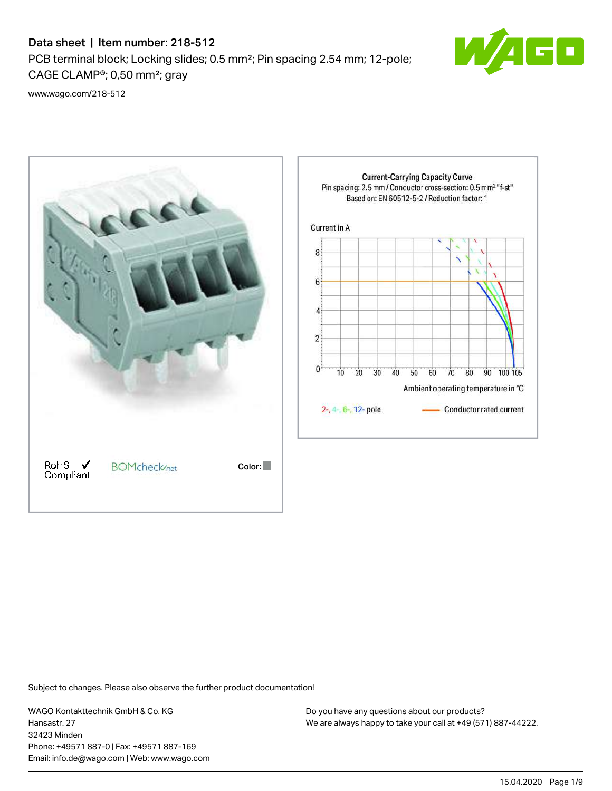## Data sheet | Item number: 218-512

PCB terminal block; Locking slides; 0.5 mm²; Pin spacing 2.54 mm; 12-pole; CAGE CLAMP®; 0,50 mm²; gray



[www.wago.com/218-512](http://www.wago.com/218-512)



Subject to changes. Please also observe the further product documentation!

WAGO Kontakttechnik GmbH & Co. KG Hansastr. 27 32423 Minden Phone: +49571 887-0 | Fax: +49571 887-169 Email: info.de@wago.com | Web: www.wago.com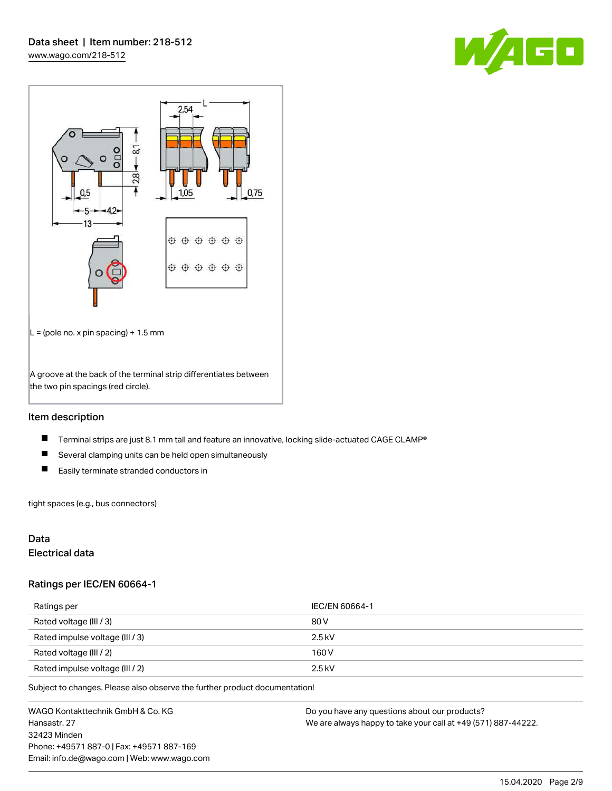



## Item description

- $\blacksquare$ Terminal strips are just 8.1 mm tall and feature an innovative, locking slide-actuated CAGE CLAMP®
- $\blacksquare$ Several clamping units can be held open simultaneously
- $\blacksquare$ Easily terminate stranded conductors in

tight spaces (e.g., bus connectors)

## Data

## Electrical data

### Ratings per IEC/EN 60664-1

| Ratings per                     | IEC/EN 60664-1 |
|---------------------------------|----------------|
| Rated voltage (III / 3)         | 80 V           |
| Rated impulse voltage (III / 3) | $2.5$ kV       |
| Rated voltage (III / 2)         | 160 V          |
| Rated impulse voltage (III / 2) | $2.5$ kV       |

Subject to changes. Please also observe the further product documentation!

WAGO Kontakttechnik GmbH & Co. KG Hansastr. 27 32423 Minden Phone: +49571 887-0 | Fax: +49571 887-169 Email: info.de@wago.com | Web: www.wago.com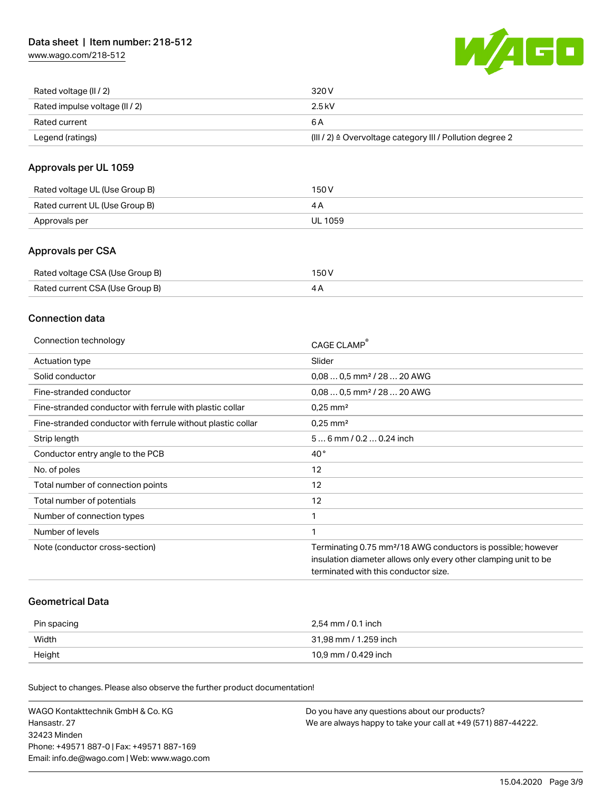[www.wago.com/218-512](http://www.wago.com/218-512)



| Rated voltage (II / 2)         | 320 V                                                                 |
|--------------------------------|-----------------------------------------------------------------------|
| Rated impulse voltage (II / 2) | 2.5 kV                                                                |
| Rated current                  | 6 A                                                                   |
| Legend (ratings)               | $(III / 2)$ $\triangle$ Overvoltage category III / Pollution degree 2 |

## Approvals per UL 1059

| Rated voltage UL (Use Group B) | 150 V   |
|--------------------------------|---------|
| Rated current UL (Use Group B) |         |
| Approvals per                  | UL 1059 |

## Approvals per CSA

| Rated voltage CSA (Use Group B) | 150 V |
|---------------------------------|-------|
| Rated current CSA (Use Group B) | 4Α    |

## Connection data

| Connection technology                                       | CAGE CLAMP®                                                              |
|-------------------------------------------------------------|--------------------------------------------------------------------------|
| Actuation type                                              | Slider                                                                   |
| Solid conductor                                             | $0.080.5$ mm <sup>2</sup> / 28  20 AWG                                   |
| Fine-stranded conductor                                     | $0.080.5$ mm <sup>2</sup> / 28  20 AWG                                   |
| Fine-stranded conductor with ferrule with plastic collar    | $0.25$ mm <sup>2</sup>                                                   |
| Fine-stranded conductor with ferrule without plastic collar | $0.25$ mm <sup>2</sup>                                                   |
| Strip length                                                | $56$ mm $/ 0.20.24$ inch                                                 |
| Conductor entry angle to the PCB                            | $40^{\circ}$                                                             |
| No. of poles                                                | 12                                                                       |
| Total number of connection points                           | 12                                                                       |
| Total number of potentials                                  | 12                                                                       |
| Number of connection types                                  | 1                                                                        |
| Number of levels                                            | 1                                                                        |
| Note (conductor cross-section)                              | Terminating 0.75 mm <sup>2</sup> /18 AWG conductors is possible; however |
|                                                             | insulation diameter allows only every other clamping unit to be          |
|                                                             | terminated with this conductor size.                                     |

### Geometrical Data

| Pin spacing | 2,54 mm / 0.1 inch    |
|-------------|-----------------------|
| Width       | 31,98 mm / 1.259 inch |
| Height      | 10,9 mm / 0.429 inch  |

Subject to changes. Please also observe the further product documentation!

| WAGO Kontakttechnik GmbH & Co. KG           | Do you have any questions about our products?                 |
|---------------------------------------------|---------------------------------------------------------------|
| Hansastr. 27                                | We are always happy to take your call at +49 (571) 887-44222. |
| 32423 Minden                                |                                                               |
| Phone: +49571 887-01 Fax: +49571 887-169    |                                                               |
| Email: info.de@wago.com   Web: www.wago.com |                                                               |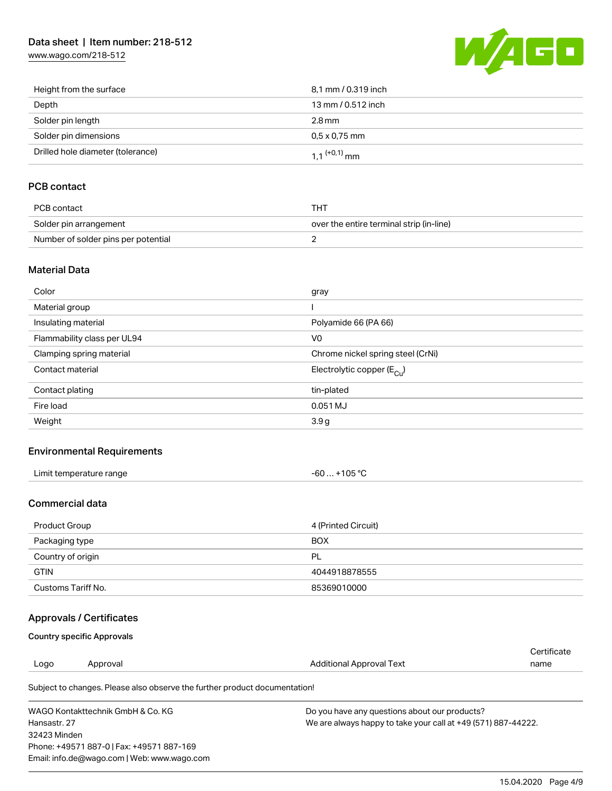## Data sheet | Item number: 218-512

[www.wago.com/218-512](http://www.wago.com/218-512)



| Height from the surface           | 8,1 mm / 0.319 inch        |
|-----------------------------------|----------------------------|
| Depth                             | 13 mm / 0.512 inch         |
| Solder pin length                 | 2.8 mm                     |
| Solder pin dimensions             | $0.5 \times 0.75$ mm       |
| Drilled hole diameter (tolerance) | $1.1$ <sup>(+0,1)</sup> mm |

## PCB contact

| PCB contact                         | тнт                                      |
|-------------------------------------|------------------------------------------|
| Solder pin arrangement              | over the entire terminal strip (in-line) |
| Number of solder pins per potential |                                          |

### Material Data

| Color                       | gray                                    |
|-----------------------------|-----------------------------------------|
| Material group              |                                         |
| Insulating material         | Polyamide 66 (PA 66)                    |
| Flammability class per UL94 | V <sub>0</sub>                          |
| Clamping spring material    | Chrome nickel spring steel (CrNi)       |
| Contact material            | Electrolytic copper ( $E_{\text{Cu}}$ ) |
| Contact plating             | tin-plated                              |
| Fire load                   | 0.051 MJ                                |
| Weight                      | 3.9g                                    |

## Environmental Requirements

| Limit temperature range<br>. | $+105 °C$<br>-60 |
|------------------------------|------------------|
|------------------------------|------------------|

## Commercial data

| Product Group      | 4 (Printed Circuit) |
|--------------------|---------------------|
| Packaging type     | <b>BOX</b>          |
| Country of origin  | PL                  |
| <b>GTIN</b>        | 4044918878555       |
| Customs Tariff No. | 85369010000         |

## Approvals / Certificates

### Country specific Approvals

Phone: +49571 887-0 | Fax: +49571 887-169 Email: info.de@wago.com | Web: www.wago.com

| Logo         | Approval                                                                   | Additional Approval Text                                      | Certificate<br>name |
|--------------|----------------------------------------------------------------------------|---------------------------------------------------------------|---------------------|
|              | Subject to changes. Please also observe the further product documentation! |                                                               |                     |
|              | WAGO Kontakttechnik GmbH & Co. KG                                          | Do you have any questions about our products?                 |                     |
| Hansastr, 27 |                                                                            | We are always happy to take your call at +49 (571) 887-44222. |                     |
| 32423 Minden |                                                                            |                                                               |                     |

15.04.2020 Page 4/9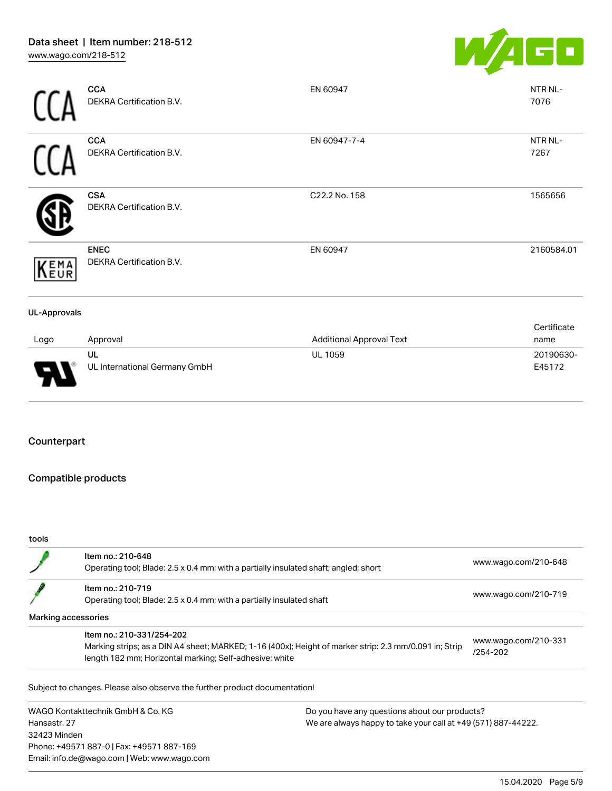

|                     | <b>CCA</b><br>DEKRA Certification B.V.  | EN 60947                        | NTR NL-<br>7076     |
|---------------------|-----------------------------------------|---------------------------------|---------------------|
|                     | <b>CCA</b><br>DEKRA Certification B.V.  | EN 60947-7-4                    | NTR NL-<br>7267     |
|                     | <b>CSA</b><br>DEKRA Certification B.V.  | C22.2 No. 158                   | 1565656             |
| KEMA                | <b>ENEC</b><br>DEKRA Certification B.V. | EN 60947                        | 2160584.01          |
| <b>UL-Approvals</b> |                                         |                                 |                     |
| Logo                | Approval                                | <b>Additional Approval Text</b> | Certificate<br>name |
| J                   | UL<br>UL International Germany GmbH     | <b>UL 1059</b>                  | 20190630-<br>E45172 |

## Counterpart

Ш

## Compatible products

Phone: +49571 887-0 | Fax: +49571 887-169 Email: info.de@wago.com | Web: www.wago.com

#### tools

|                                   | Item no.: 210-648<br>Operating tool; Blade: 2.5 x 0.4 mm; with a partially insulated shaft; angled; short |                                                               | www.wago.com/210-648             |
|-----------------------------------|-----------------------------------------------------------------------------------------------------------|---------------------------------------------------------------|----------------------------------|
|                                   | Item no.: 210-719                                                                                         |                                                               |                                  |
|                                   | Operating tool; Blade: 2.5 x 0.4 mm; with a partially insulated shaft                                     | www.wago.com/210-719                                          |                                  |
|                                   | Marking accessories                                                                                       |                                                               |                                  |
|                                   | Item no.: 210-331/254-202                                                                                 |                                                               |                                  |
|                                   | Marking strips; as a DIN A4 sheet; MARKED; 1-16 (400x); Height of marker strip: 2.3 mm/0.091 in; Strip    |                                                               | www.wago.com/210-331<br>/254-202 |
|                                   | length 182 mm; Horizontal marking; Self-adhesive; white                                                   |                                                               |                                  |
|                                   | Subject to changes. Please also observe the further product documentation!                                |                                                               |                                  |
| WAGO Kontakttechnik GmbH & Co. KG |                                                                                                           | Do you have any questions about our products?                 |                                  |
| Hansastr, 27                      |                                                                                                           | We are always happy to take your call at +49 (571) 887-44222. |                                  |
| 32423 Minden                      |                                                                                                           |                                                               |                                  |

15.04.2020 Page 5/9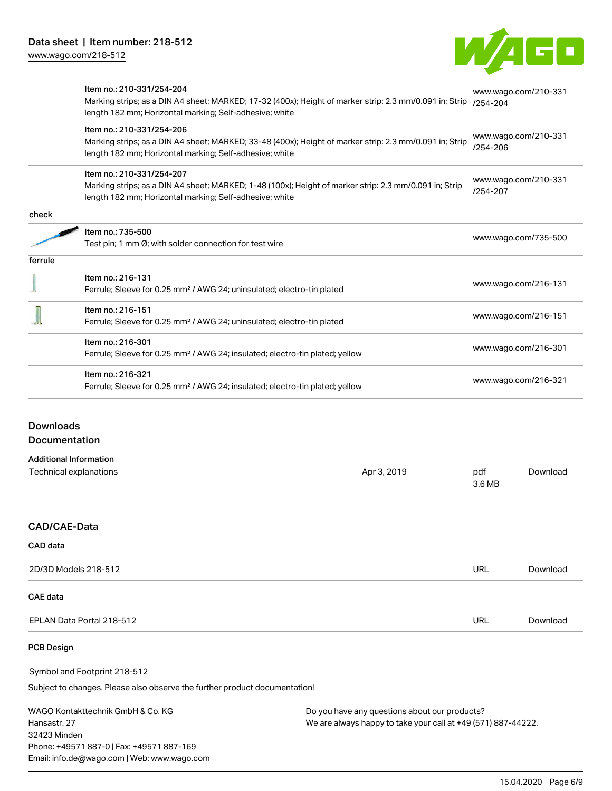

|         | Item no.: 210-331/254-204<br>Marking strips; as a DIN A4 sheet; MARKED; 17-32 (400x); Height of marker strip: 2.3 mm/0.091 in; Strip<br>length 182 mm; Horizontal marking; Self-adhesive; white | www.wago.com/210-331<br>$/254 - 204$ |  |
|---------|-------------------------------------------------------------------------------------------------------------------------------------------------------------------------------------------------|--------------------------------------|--|
|         | Item no.: 210-331/254-206<br>Marking strips; as a DIN A4 sheet; MARKED; 33-48 (400x); Height of marker strip: 2.3 mm/0.091 in; Strip<br>length 182 mm; Horizontal marking; Self-adhesive; white | www.wago.com/210-331<br>/254-206     |  |
|         | Item no.: 210-331/254-207<br>Marking strips; as a DIN A4 sheet; MARKED; 1-48 (100x); Height of marker strip: 2.3 mm/0.091 in; Strip<br>length 182 mm; Horizontal marking; Self-adhesive; white  | www.wago.com/210-331<br>/254-207     |  |
| check   |                                                                                                                                                                                                 |                                      |  |
|         | Item no.: 735-500                                                                                                                                                                               | www.wago.com/735-500                 |  |
|         | Test pin; 1 mm $\varnothing$ ; with solder connection for test wire                                                                                                                             |                                      |  |
| ferrule |                                                                                                                                                                                                 |                                      |  |
|         | Item no.: 216-131<br>Ferrule; Sleeve for 0.25 mm <sup>2</sup> / AWG 24; uninsulated; electro-tin plated                                                                                         | www.wago.com/216-131                 |  |
|         | Item no.: 216-151<br>Ferrule; Sleeve for 0.25 mm <sup>2</sup> / AWG 24; uninsulated; electro-tin plated                                                                                         | www.wago.com/216-151                 |  |
|         | Item no.: 216-301<br>Ferrule; Sleeve for 0.25 mm <sup>2</sup> / AWG 24; insulated; electro-tin plated; yellow                                                                                   | www.wago.com/216-301                 |  |
|         | Item no.: 216-321<br>Ferrule; Sleeve for 0.25 mm <sup>2</sup> / AWG 24; insulated; electro-tin plated; yellow                                                                                   | www.wago.com/216-321                 |  |
|         |                                                                                                                                                                                                 |                                      |  |

## Downloads **Documentation**

Additional Information

| Technical explanations | Apr 3, 2019 | pdf<br>3.6 MB | Download |
|------------------------|-------------|---------------|----------|
|                        |             |               |          |
| CAD/CAE-Data           |             |               |          |
| CAD data               |             |               |          |
| 2D/3D Models 218-512   |             | <b>URL</b>    | Download |
| CAE data               |             |               |          |

EPLAN Data Portal 218-512 URL [Download](https://www.wago.com/de/d/EPLAN_URLS_218-512)

## PCB Design

Symbol and Footprint 218-512

Subject to changes. Please also observe the further product documentation!

WAGO Kontakttechnik GmbH & Co. KG Hansastr. 27 32423 Minden Phone: +49571 887-0 | Fax: +49571 887-169 Email: info.de@wago.com | Web: www.wago.com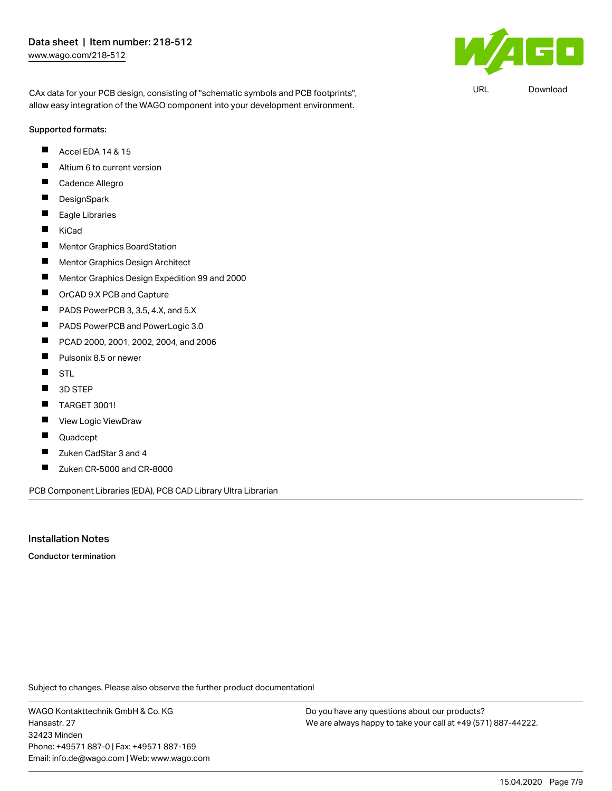CAx data for your PCB design, consisting of "schematic symbols and PCB footprints", allow easy integration of the WAGO component into your development environment.

#### Supported formats:

- Accel EDA 14 & 15 П
- $\blacksquare$ Altium 6 to current version
- Г Cadence Allegro
- $\blacksquare$ **DesignSpark**
- $\blacksquare$ Eagle Libraries
- $\blacksquare$ KiCad
- $\blacksquare$ Mentor Graphics BoardStation
- П Mentor Graphics Design Architect
- $\blacksquare$ Mentor Graphics Design Expedition 99 and 2000
- $\blacksquare$ OrCAD 9.X PCB and Capture
- П PADS PowerPCB 3, 3.5, 4.X, and 5.X
- $\blacksquare$ PADS PowerPCB and PowerLogic 3.0
- П PCAD 2000, 2001, 2002, 2004, and 2006
- $\blacksquare$ Pulsonix 8.5 or newer
- $\blacksquare$ STL
- $\blacksquare$ 3D STEP
- П TARGET 3001!
- П View Logic ViewDraw
- $\blacksquare$ Quadcept
- $\blacksquare$ Zuken CadStar 3 and 4
- $\blacksquare$ Zuken CR-5000 and CR-8000

PCB Component Libraries (EDA), PCB CAD Library Ultra Librarian

## Installation Notes

Conductor termination

Subject to changes. Please also observe the further product documentation!

WAGO Kontakttechnik GmbH & Co. KG Hansastr. 27 32423 Minden Phone: +49571 887-0 | Fax: +49571 887-169 Email: info.de@wago.com | Web: www.wago.com

Do you have any questions about our products? We are always happy to take your call at +49 (571) 887-44222.



URL [Download](https://www.wago.com/de/d/UltraLibrarian_URLS_218-512)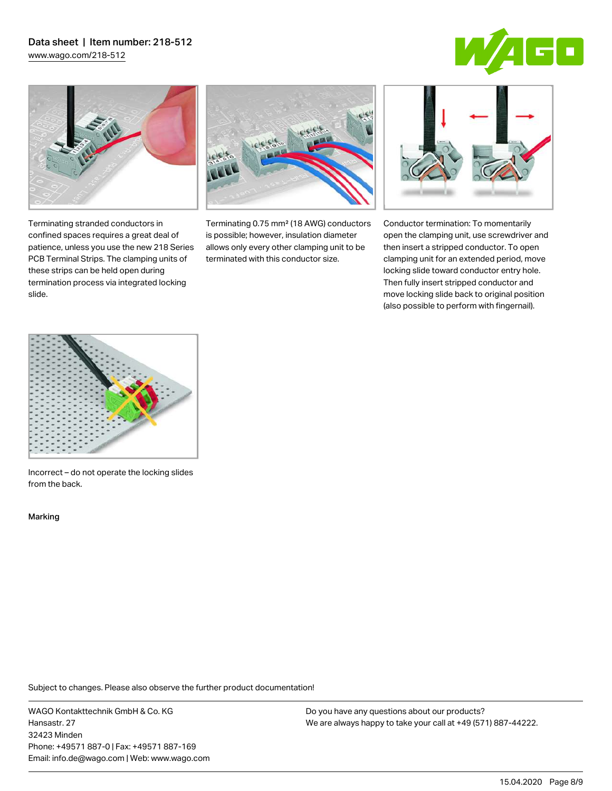# Data sheet | Item number: 218-512

[www.wago.com/218-512](http://www.wago.com/218-512)





Terminating stranded conductors in confined spaces requires a great deal of patience, unless you use the new 218 Series PCB Terminal Strips. The clamping units of these strips can be held open during termination process via integrated locking

Terminating 0.75 mm² (18 AWG) conductors is possible; however, insulation diameter allows only every other clamping unit to be terminated with this conductor size.



Conductor termination: To momentarily open the clamping unit, use screwdriver and then insert a stripped conductor. To open clamping unit for an extended period, move locking slide toward conductor entry hole. Then fully insert stripped conductor and move locking slide back to original position (also possible to perform with fingernail).



Incorrect – do not operate the locking slides from the back.

Marking

slide.

Subject to changes. Please also observe the further product documentation!

WAGO Kontakttechnik GmbH & Co. KG Hansastr. 27 32423 Minden Phone: +49571 887-0 | Fax: +49571 887-169 Email: info.de@wago.com | Web: www.wago.com